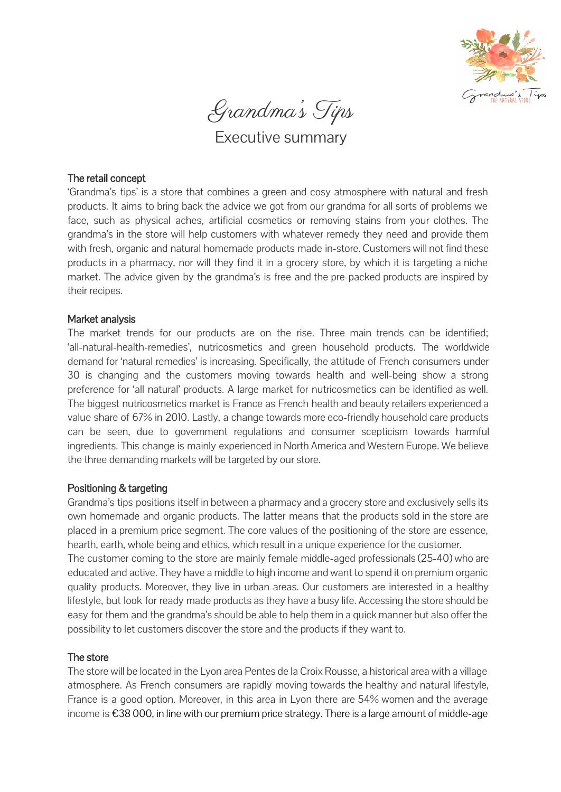

Grandma's Tips

Executive summary

# The retail concept

'Grandma's tips' is a store that combines a green and cosy atmosphere with natural and fresh products. It aims to bring back the advice we got from our grandma for all sorts of problems we face, such as physical aches, artificial cosmetics or removing stains from your clothes. The grandma's in the store will help customers with whatever remedy they need and provide them with fresh, organic and natural homemade products made in-store. Customers will not find these products in a pharmacy, nor will they find it in a grocery store, by which it is targeting a niche market. The advice given by the grandma's is free and the pre-packed products are inspired by their recipes.

# Market analysis

The market trends for our products are on the rise. Three main trends can be identified; 'all-natural-health-remedies', nutricosmetics and green household products. The worldwide demand for 'natural remedies' is increasing. Specifically, the attitude of French consumers under 30 is changing and the customers moving towards health and well-being show a strong preference for 'all natural' products. A large market for nutricosmetics can be identified as well. The biggest nutricosmetics market is France as French health and beauty retailers experienced a value share of 67% in 2010. Lastly, a change towards more eco-friendly household care products can be seen, due to government regulations and consumer scepticism towards harmful ingredients. This change is mainly experienced in North America and Western Europe. We believe the three demanding markets will be targeted by our store.

### Positioning & targeting

Grandma's tips positions itself in between a pharmacy and a grocery store and exclusively sells its own homemade and organic products. The latter means that the products sold in the store are placed in a premium price segment. The core values of the positioning of the store are essence, hearth, earth, whole being and ethics, which result in a unique experience for the customer. The customer coming to the store are mainly female middle-aged professionals (25-40) who are educated and active. They have a middle to high income and want to spend it on premium organic quality products. Moreover, they live in urban areas. Our customers are interested in a healthy lifestyle, but look for ready made products as they have a busy life. Accessing the store should be easy for them and the grandma's should be able to help them in a quick manner but also offer the possibility to let customers discover the store and the products if they want to.

### The store

The store will be located in the Lyon area Pentes de la Croix Rousse, a historical area with a village atmosphere. As French consumers are rapidly moving towards the healthy and natural lifestyle, France is a good option. Moreover, in this area in Lyon there are 54% women and the average income is €38 000, in line with our premium price strategy. There is a large amount of middle-age